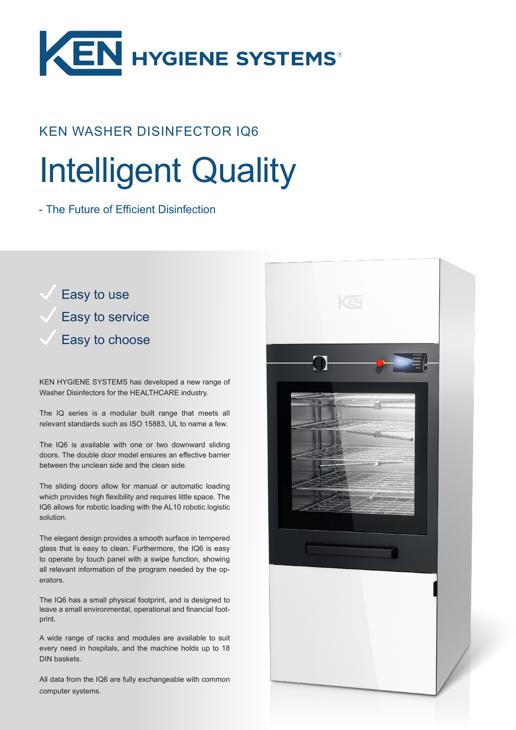

## KEN WASHER DISINFECTOR IQ6

# Intelligent Quality

- The Future of Efficient Disinfection

Easy to use Easy to service Easy to choose

KEN HYGIENE SYSTEMS has developed a new range of Washer Disinfectors for the HEALTHCARE industry.

The IQ series is a modular built range that meets all relevant standards such as ISO 15883, UL to name a few.

The IQ6 is available with one or two downward sliding doors. The double door model ensures an effective barrier between the unclean side and the clean side.

The sliding doors allow for manual or automatic loading which provides high flexibility and requires little space. The IQ6 allows for robotic loading with the AL10 robotic logistic solution.

The elegant design provides a smooth surface in tempered glass that is easy to clean. Furthermore, the IQ6 is easy to operate by touch panel with a swipe function, showing all relevant information of the program needed by the operators.

The IQ6 has a small physical footprint, and is designed to leave a small environmental, operational and financial footprint.

A wide range of racks and modules are available to suit every need in hospitals, and the machine holds up to 18 DIN baskets.

All data from the IQ6 are fully exchangeable with common computer systems.